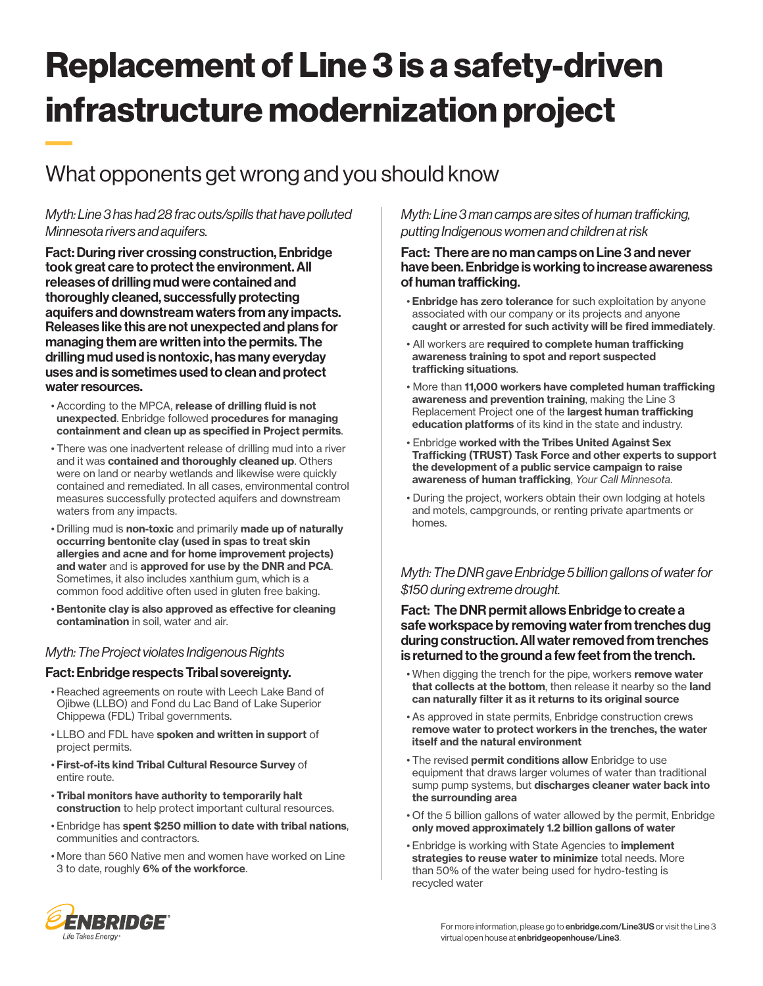# Replacement of Line 3 is a safety-driven infrastructure modernization project

# What opponents get wrong and you should know

## *Myth: Line 3 has had 28 frac outs/spills that have polluted Minnesota rivers and aquifers.*

Fact: During river crossing construction, Enbridge took great care to protect the environment. All releases of drilling mud were contained and thoroughly cleaned, successfully protecting aquifers and downstream waters from any impacts. Releases like this are not unexpected and plans for managing them are written into the permits. The drilling mud used is nontoxic, has many everyday uses and is sometimes used to clean and protect water resources.

- According to the MPCA, release of drilling fluid is not unexpected. Enbridge followed procedures for managing containment and clean up as specified in Project permits.
- There was one inadvertent release of drilling mud into a river and it was contained and thoroughly cleaned up. Others were on land or nearby wetlands and likewise were quickly contained and remediated. In all cases, environmental control measures successfully protected aquifers and downstream waters from any impacts.
- Drilling mud is non-toxic and primarily made up of naturally occurring bentonite clay (used in spas to treat skin allergies and acne and for home improvement projects) and water and is approved for use by the DNR and PCA. Sometimes, it also includes xanthium gum, which is a common food additive often used in gluten free baking.
- Bentonite clay is also approved as effective for cleaning contamination in soil, water and air.

## *Myth: The Project violates Indigenous Rights*

#### Fact: Enbridge respects Tribal sovereignty.

- Reached agreements on route with Leech Lake Band of Ojibwe (LLBO) and Fond du Lac Band of Lake Superior Chippewa (FDL) Tribal governments.
- LLBO and FDL have spoken and written in support of project permits.
- First-of-its kind Tribal Cultural Resource Survey of entire route.
- Tribal monitors have authority to temporarily halt construction to help protect important cultural resources.
- Enbridge has spent \$250 million to date with tribal nations, communities and contractors.
- More than 560 Native men and women have worked on Line 3 to date, roughly 6% of the workforce.

*Myth: Line 3 man camps are sites of human trafficking, putting Indigenous women and children at risk*

#### Fact: There are no man camps on Line 3 and never have been. Enbridge is working to increase awareness of human trafficking.

- **· Enbridge has zero tolerance** for such exploitation by anyone associated with our company or its projects and anyone caught or arrested for such activity will be fired immediately.
- All workers are required to complete human trafficking awareness training to spot and report suspected trafficking situations.
- More than 11,000 workers have completed human trafficking awareness and prevention training, making the Line 3 Replacement Project one of the largest human trafficking education platforms of its kind in the state and industry.
- Enbridge worked with the Tribes United Against Sex Trafficking (TRUST) Task Force and other experts to support the development of a public service campaign to raise awareness of human trafficking, *Your Call Minnesota*.
- During the project, workers obtain their own lodging at hotels and motels, campgrounds, or renting private apartments or homes.

# *Myth: The DNR gave Enbridge 5 billion gallons of water for \$150 during extreme drought.*

#### Fact: The DNR permit allows Enbridge to create a safe workspace by removing water from trenches dug during construction. All water removed from trenches is returned to the ground a few feet from the trench.

- When digging the trench for the pipe, workers remove water that collects at the bottom, then release it nearby so the land can naturally filter it as it returns to its original source
- As approved in state permits, Enbridge construction crews remove water to protect workers in the trenches, the water itself and the natural environment
- The revised permit conditions allow Enbridge to use equipment that draws larger volumes of water than traditional sump pump systems, but discharges cleaner water back into the surrounding area
- Of the 5 billion gallons of water allowed by the permit, Enbridge only moved approximately 1.2 billion gallons of water
- **Enbridge is working with State Agencies to implement** strategies to reuse water to minimize total needs. More than 50% of the water being used for hydro-testing is recycled water



For more information, please go to **enbridge.com/Line3US** or visit the Line 3 virtual open house at enbridgeopenhouse/Line3.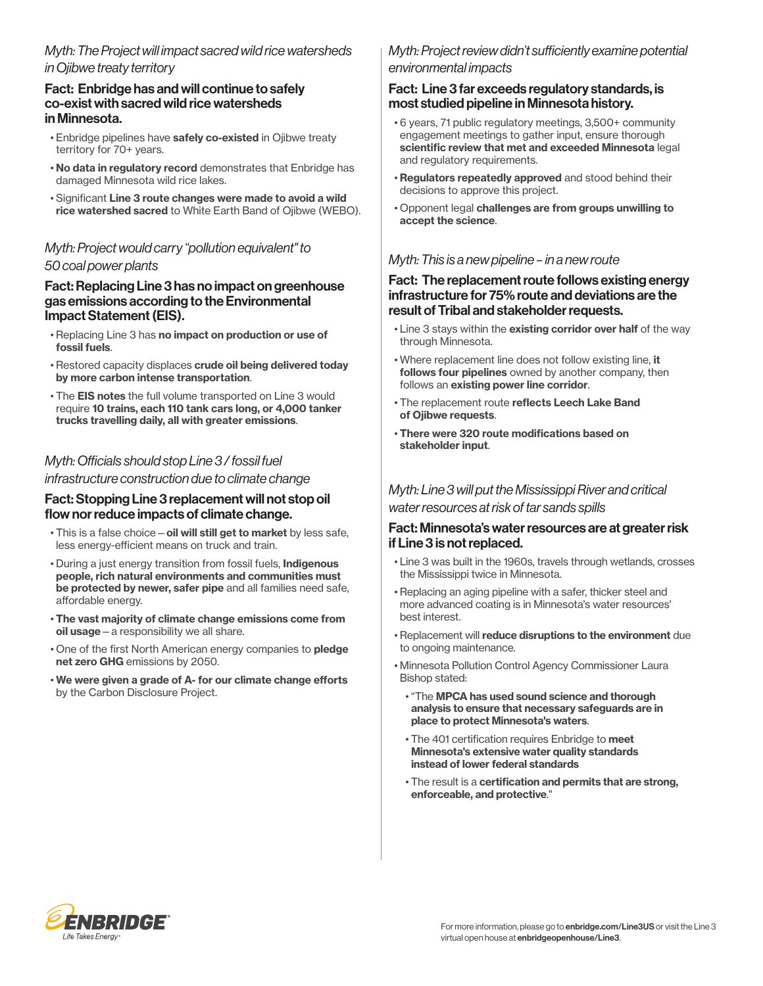# *Myth: The Project will impact sacred wild rice watersheds in Ojibwe treaty territory*

#### Fact: Enbridge has and will continue to safely co-exist with sacred wild rice watersheds in Minnesota.

- Enbridge pipelines have safely co-existed in Ojibwe treaty territory for 70+ years.
- No data in regulatory record demonstrates that Enbridge has damaged Minnesota wild rice lakes.
- Significant Line 3 route changes were made to avoid a wild rice watershed sacred to White Earth Band of Ojibwe (WEBO).

#### *Myth: Project would carry "pollution equivalent" to 50 coal power plants*

#### Fact: Replacing Line 3 has no impact on greenhouse gas emissions according to the Environmental Impact Statement (EIS).

- Replacing Line 3 has no impact on production or use of fossil fuels.
- Restored capacity displaces crude oil being delivered today by more carbon intense transportation.
- The EIS notes the full volume transported on Line 3 would require 10 trains, each 110 tank cars long, or 4,000 tanker trucks travelling daily, all with greater emissions.

# *Myth: Officials should stop Line 3 / fossil fuel*

*infrastructure construction due to climate change*

#### Fact: Stopping Line 3 replacement will not stop oil flow nor reduce impacts of climate change.

- This is a false choice oil will still get to market by less safe. less energy-efficient means on truck and train.
- During a just energy transition from fossil fuels, Indigenous people, rich natural environments and communities must be protected by newer, safer pipe and all families need safe, affordable energy.
- The vast majority of climate change emissions come from oil usage—a responsibility we all share.
- One of the first North American energy companies to pledge net zero GHG emissions by 2050.
- We were given a grade of A- for our climate change efforts by the Carbon Disclosure Project.

# *Myth: Project review didn't sufficiently examine potential environmental impacts*

#### Fact: Line 3 far exceeds regulatory standards, is most studied pipeline in Minnesota history.

- 6 years, 71 public regulatory meetings, 3,500+ community engagement meetings to gather input, ensure thorough scientific review that met and exceeded Minnesota legal and regulatory requirements.
- Regulators repeatedly approved and stood behind their decisions to approve this project.
- Opponent legal challenges are from groups unwilling to accept the science.

## *Myth: This is a new pipeline – in a new route*

#### Fact: The replacement route follows existing energy infrastructure for 75% route and deviations are the result of Tribal and stakeholder requests.

- Line 3 stays within the existing corridor over half of the way through Minnesota.
- Where replacement line does not follow existing line, it follows four pipelines owned by another company, then follows an existing power line corridor.
- The replacement route reflects Leech Lake Band of Ojibwe requests.
- There were 320 route modifications based on stakeholder input.

#### *Myth: Line 3 will put the Mississippi River and critical water resources at risk of tar sands spills*

#### Fact: Minnesota's water resources are at greater risk if Line 3 is not replaced.

- Line 3 was built in the 1960s, travels through wetlands, crosses the Mississippi twice in Minnesota.
- Replacing an aging pipeline with a safer, thicker steel and more advanced coating is in Minnesota's water resources' best interest.
- Replacement will reduce disruptions to the environment due to ongoing maintenance.
- Minnesota Pollution Control Agency Commissioner Laura Bishop stated:
	- "The MPCA has used sound science and thorough analysis to ensure that necessary safeguards are in place to protect Minnesota's waters.
	- The 401 certification requires Enbridge to meet Minnesota's extensive water quality standards instead of lower federal standards
	- The result is a certification and permits that are strong, enforceable, and protective."

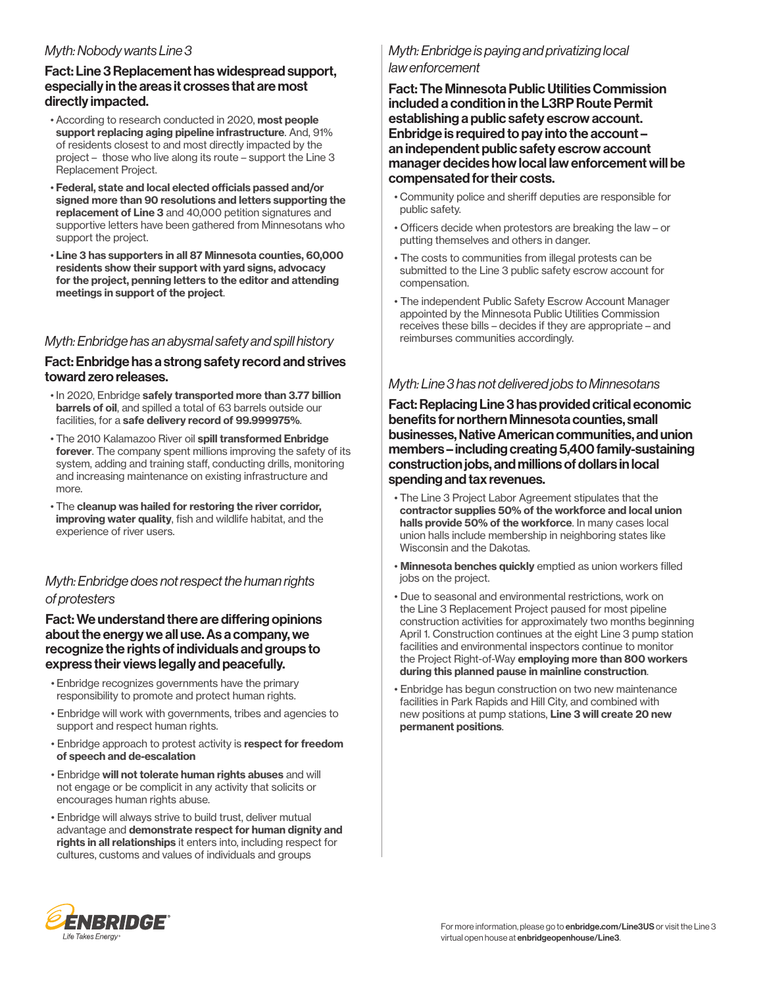#### *Myth: Nobody wants Line 3*

#### Fact: Line 3 Replacement has widespread support, especially in the areas it crosses that are most directly impacted.

- According to research conducted in 2020, most people support replacing aging pipeline infrastructure. And, 91% of residents closest to and most directly impacted by the project – those who live along its route – support the Line 3 Replacement Project.
- Federal, state and local elected officials passed and/or signed more than 90 resolutions and letters supporting the replacement of Line 3 and 40,000 petition signatures and supportive letters have been gathered from Minnesotans who support the project.
- Line 3 has supporters in all 87 Minnesota counties, 60,000 residents show their support with yard signs, advocacy for the project, penning letters to the editor and attending meetings in support of the project.

# *Myth: Enbridge has an abysmal safety and spill history*

#### Fact: Enbridge has a strong safety record and strives toward zero releases.

- In 2020, Enbridge safely transported more than 3.77 billion barrels of oil, and spilled a total of 63 barrels outside our facilities, for a safe delivery record of 99.999975%.
- The 2010 Kalamazoo River oil spill transformed Enbridge forever. The company spent millions improving the safety of its system, adding and training staff, conducting drills, monitoring and increasing maintenance on existing infrastructure and more.
- The cleanup was hailed for restoring the river corridor, improving water quality, fish and wildlife habitat, and the experience of river users.

# *Myth: Enbridge does not respect the human rights of protesters*

#### Fact: We understand there are differing opinions about the energy we all use. As a company, we recognize the rights of individuals and groups to express their views legally and peacefully.

- Enbridge recognizes governments have the primary responsibility to promote and protect human rights.
- Enbridge will work with governments, tribes and agencies to support and respect human rights.
- Enbridge approach to protest activity is respect for freedom of speech and de-escalation
- Enbridge will not tolerate human rights abuses and will not engage or be complicit in any activity that solicits or encourages human rights abuse.
- Enbridge will always strive to build trust, deliver mutual advantage and demonstrate respect for human dignity and rights in all relationships it enters into, including respect for cultures, customs and values of individuals and groups

# *Myth: Enbridge is paying and privatizing local law enforcement*

Fact: The Minnesota Public Utilities Commission included a condition in the L3RP Route Permit establishing a public safety escrow account. Enbridge is required to pay into the account – an independent public safety escrow account manager decides how local law enforcement will be compensated for their costs.

- Community police and sheriff deputies are responsible for public safety.
- Officers decide when protestors are breaking the law or putting themselves and others in danger.
- The costs to communities from illegal protests can be submitted to the Line 3 public safety escrow account for compensation.
- The independent Public Safety Escrow Account Manager appointed by the Minnesota Public Utilities Commission receives these bills – decides if they are appropriate – and reimburses communities accordingly.

# *Myth: Line 3 has not delivered jobs to Minnesotans*

Fact: Replacing Line 3 has provided critical economic benefits for northern Minnesota counties, small businesses, Native American communities, and union members – including creating 5,400 family-sustaining construction jobs, and millions of dollars in local spending and tax revenues.

- The Line 3 Project Labor Agreement stipulates that the contractor supplies 50% of the workforce and local union halls provide 50% of the workforce. In many cases local union halls include membership in neighboring states like Wisconsin and the Dakotas.
- Minnesota benches quickly emptied as union workers filled jobs on the project.
- Due to seasonal and environmental restrictions, work on the Line 3 Replacement Project paused for most pipeline construction activities for approximately two months beginning April 1. Construction continues at the eight Line 3 pump station facilities and environmental inspectors continue to monitor the Project Right-of-Way employing more than 800 workers during this planned pause in mainline construction.
- Enbridge has begun construction on two new maintenance facilities in Park Rapids and Hill City, and combined with new positions at pump stations, Line 3 will create 20 new permanent positions.